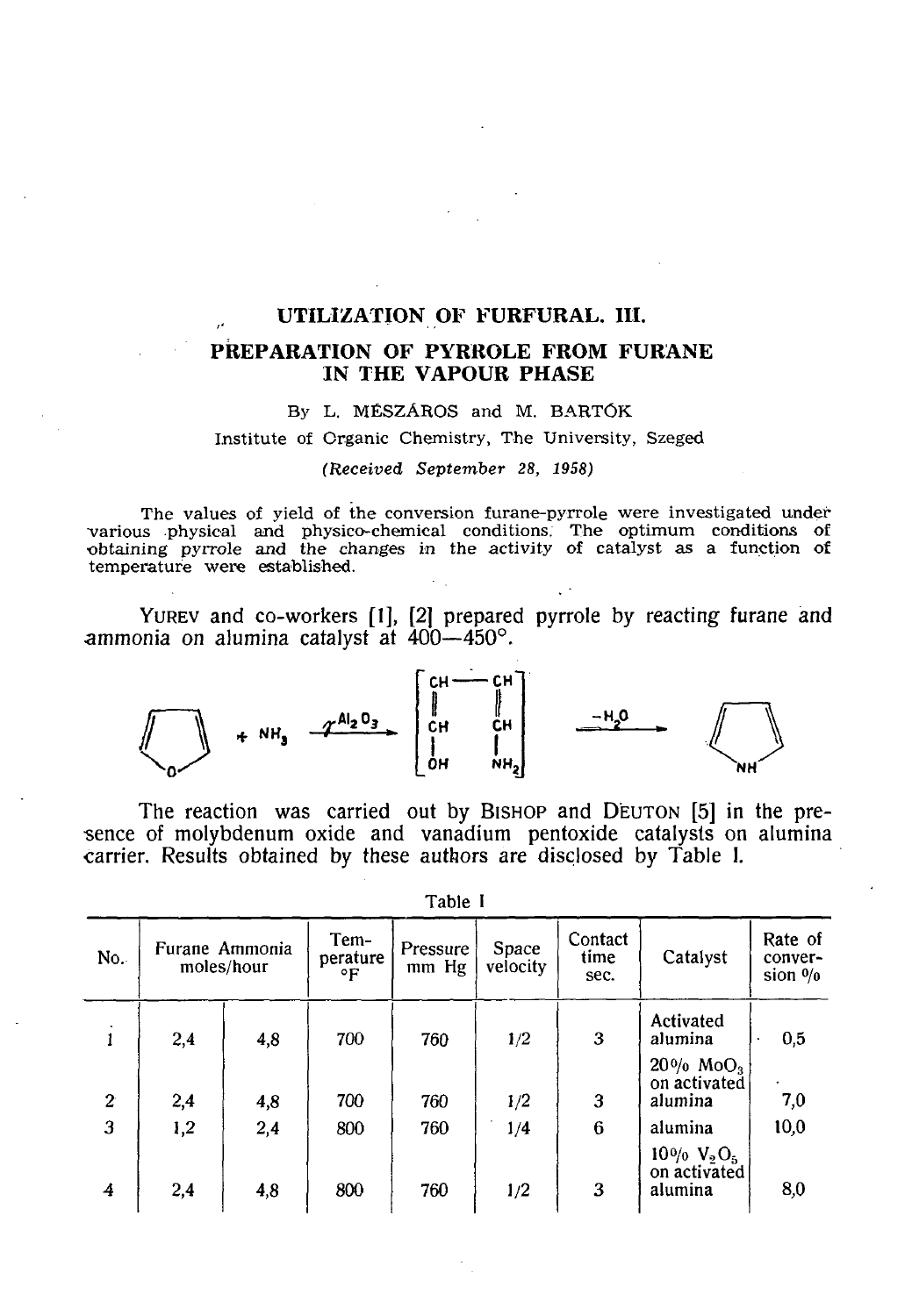# UTILIZATION OF FURFURAL. III.

# PREPARATION OF PYRROLE FROM FURANE IN THE VAPOUR PHASE

#### By L. MÉSZÁROS and M. BARTÓK

**Institute of Organic Chemistry, The University, Szeged** 

#### *(Received September* 28, *1958)*

**The values of yield of the conversion furane-pyrrole were investigated under •various physical and physico-chemical conditions. The optimum conditions of •obtaining pyrrole and the changes in the activity of catalyst as a function of temperature were established.** 

YUREV and co-workers [I], [2] prepared pyrrole by reacting furane and ammonia on alumina catalyst at 400—450°.

$$
\begin{array}{|c|c|c|c|c|c|c|c|} \hline \text{min.} & & & \text{min.} \\ \hline \text{min.} & & & & \text{min.} \\ \hline \text{min.} & & & & \text{min.} \\ \hline \text{min.} & & & & \text{min.} \\ \hline \text{min.} & & & & \text{min.} \\ \hline \text{min.} & & & & \text{min.} \\ \hline \text{min.} & & & & \text{min.} \\ \hline \text{min.} & & & & \text{min.} \\ \hline \text{min.} & & & & \text{min.} \\ \hline \text{min.} & & & & \text{min.} \\ \hline \text{min.} & & & & \text{min.} \\ \hline \text{min.} & & & & \text{min.} \\ \hline \text{min.} & & & & \text{min.} \\ \hline \text{min.} & & & & \text{min.} \\ \hline \text{min.} & & & & \text{min.} \\ \hline \text{min.} & & & & \text{min.} \\ \hline \text{min.} & & & & \text{min.} \\ \hline \text{min.} & & & & & \text{min.} \\ \hline \text{min.} & & & & & \text{min.} \\ \hline \text{min.} & & & & & & \text{min.} \\ \hline \text{min.} & & & & & & \text{min.} \\ \hline \text{min.} & & & & & & \text{min.} \\ \hline \text{min.} & & & & & & & \text{min.} \\ \hline \text{min.} & & & & & & & \text{min.} \\ \hline \text{min.} & & & & & &
$$

The reaction was carried out by BISHOP and DEUTON [5] in the pre-<br>sence of molybdenum oxide and vanadium pentoxide catalysts on alumina sence of molyboarding and vanishing and vanishing  $\alpha$  molyboarding catalysts on aluminative catalysts on aluminative catalysts on  $\alpha$ carrier. Results obtained by these authors are disclosed by Table 1.

| No.            |     | Furane Ammonia<br>moles/hour | Tem-<br>perature<br>۰F | Pressure<br>mm Hg | Space<br>velocity | Contact<br>time<br>sec. | Catalyst                                                | Rate of<br>conver-<br>sion $\frac{0}{0}$ |
|----------------|-----|------------------------------|------------------------|-------------------|-------------------|-------------------------|---------------------------------------------------------|------------------------------------------|
| 1              | 2,4 | 4,8                          | 700                    | 760               | 1/2               | 3                       | Activated<br>alumina                                    | 0,5                                      |
| $\overline{2}$ | 2,4 | 4,8                          | 700                    | 760               | 1/2               | 3                       | $20\%$ MoO <sub>3</sub><br>on activated<br>alumina      | 7,0                                      |
| 3              | 1,2 | 2,4                          | 800                    | 760               | 1/4               | 6                       | alumina                                                 | 10,0                                     |
| 4              | 2,4 | 4,8                          | 800                    | 760               | 1/2               | 3                       | $10\% \text{ V}_2\text{O}_5$<br>on activated<br>alumina | 8,0                                      |

| anır |  |  |  |
|------|--|--|--|
|------|--|--|--|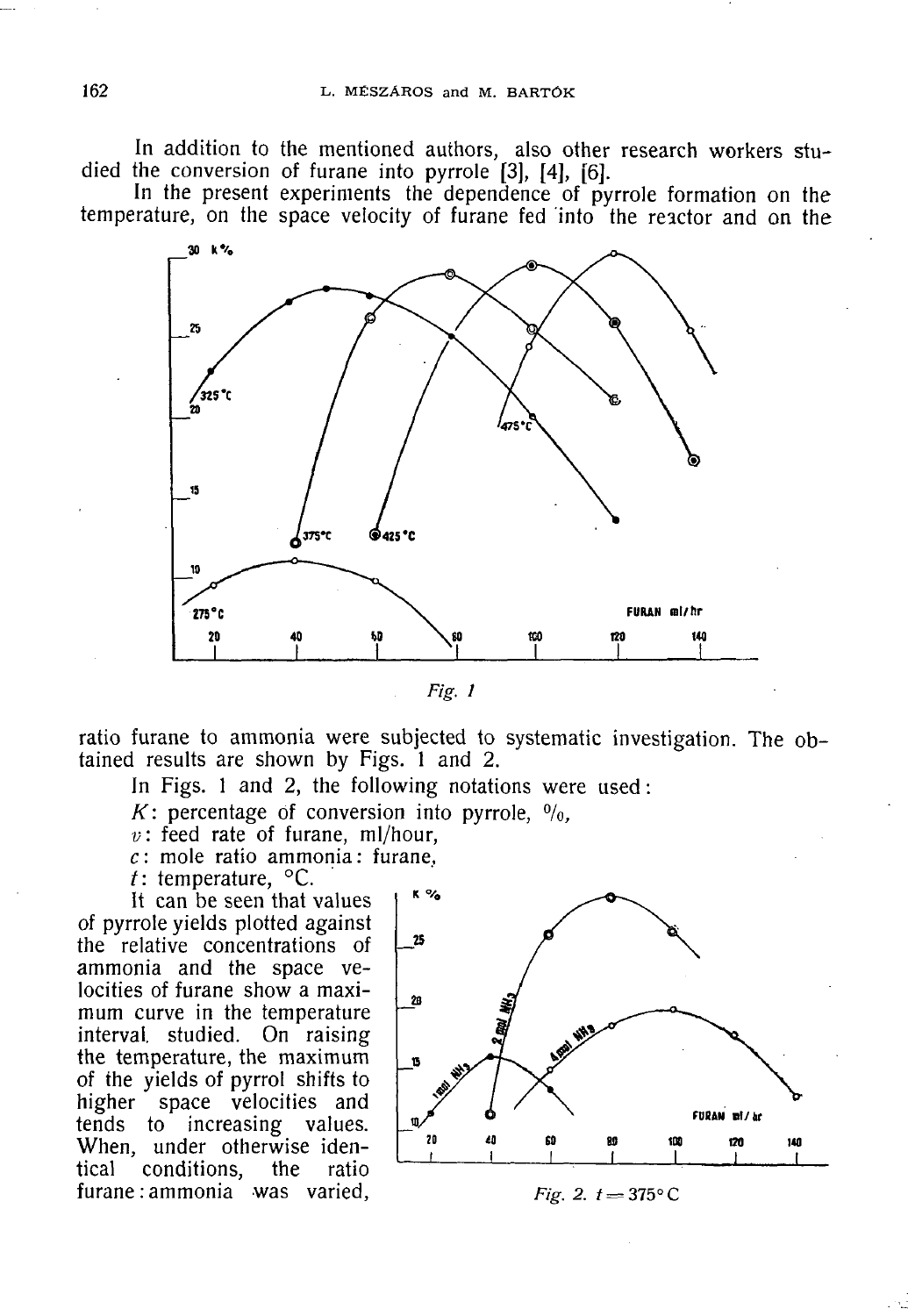In addition to the mentioned authors, also other research workers studied the conversion of furane into pyrrole [3], [4], [6].

In the present experiments the dependence of pyrrole formation on the temperature, on the space velocity of furane fed into the reactor and on the



*Fig. 1* 

ratio furane to ammonia were subjected to systematic investigation. The obtained results are shown by Figs. 1 and 2.

In Figs. 1 and 2, the following notations were used :

*K*: percentage of conversion into pyrrole,  $\frac{0}{0}$ ,

 $v$ : feed rate of furane, ml/hour,

*c* : mole ratio ammonia : furane,

*t:* temperature, °C.

It can be seen that values of pyrrole yields plotted against the relative concentrations of ammonia and the space velocities of furane show a maximum curve in the temperature interval studied. On raising the temperature, the maximum of the yields of pyrrol shifts to higher space velocities and tends to increasing values. When, under otherwise identical conditions, the ratio furane : ammonia was varied,  $Fig. 2. t = 375^{\circ}C$ 

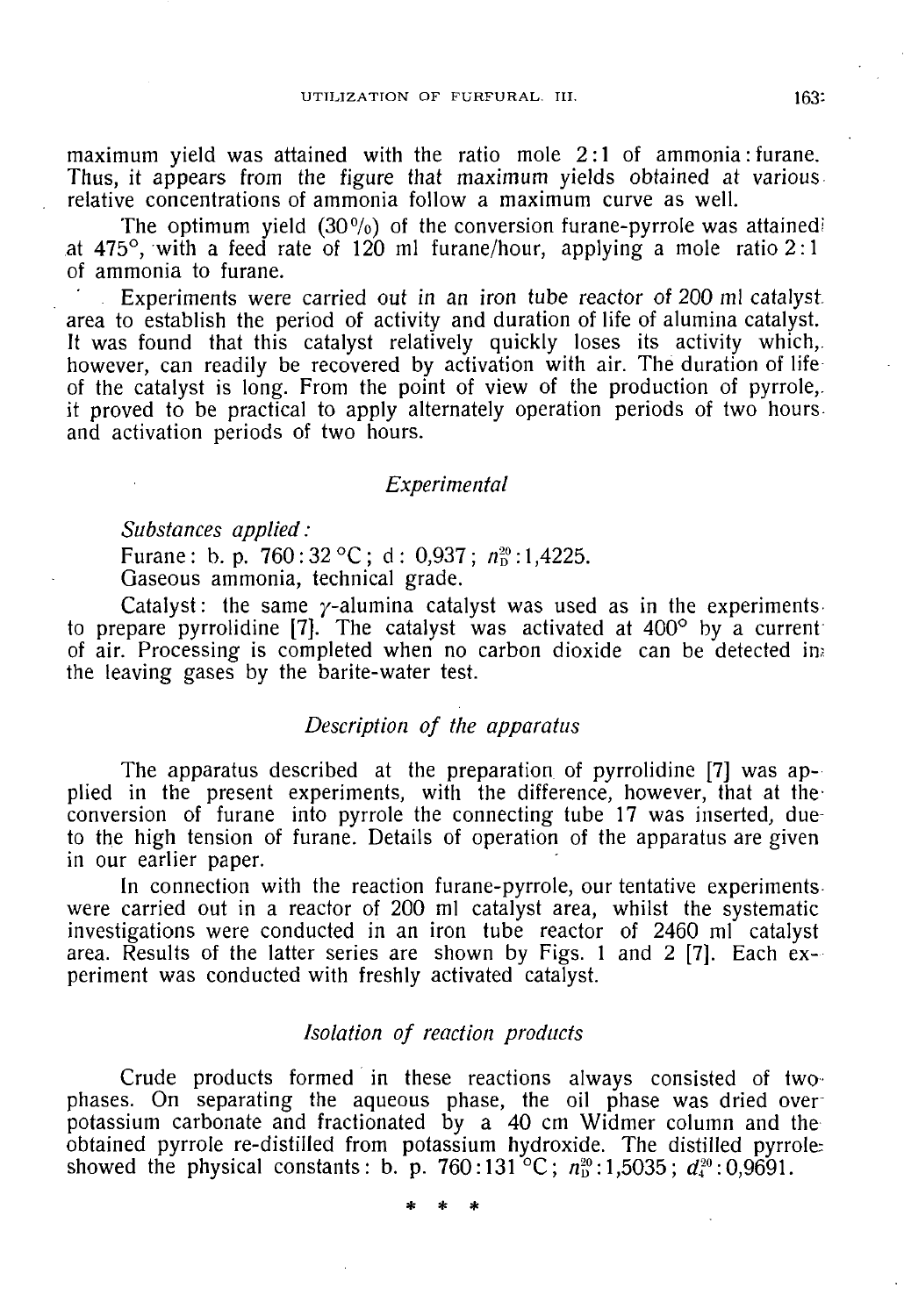maximum yield was attained with the ratio mole 2:1 of ammonia: furane. Thus, it appears from the figure that maximum yields obtained at various relative concentrations of ammonia follow a maximum curve as well.

The optimum yield  $(30\%)$  of the conversion furane-pyrrole was attained at 475°, with a feed rate of 120 ml furane/hour, applying a mole ratio  $2:1$ of ammonia to furane.

Experiments were carried out in an iron tube reactor of 200 ml catalystarea to establish the period of activity and duration of life of alumina catalyst. It was found that this catalyst relatively quickly loses its activity which, however, can readily be recovered by activation with air. The duration of life of the catalyst is long. From the point of view of the production of pyrrole,, it proved to be practical to apply alternately operation periods of two hours and activation periods of two hours.

## *Experimental*

*Substances applied:* 

Furane: b. p. 760:32 °C; d: 0,937;  $n_{\rm p}^{\rm 20}$ :1,4225. Gaseous ammonia, technical grade.

Catalyst: the same  $\gamma$ -alumina catalyst was used as in the experiments to prepare pyrrolidine  $[7]$ . The catalyst was activated at  $400^{\circ}$  by a current of air. Processing is completed when no carbon dioxide can be detected ins the leaving gases by the barite-water test.

## *Description of the apparatus*

The apparatus described at the preparation of pyrrolidine [7] was applied in the present experiments, with the difference, however, that at theconversion of furane into pyrrole the connecting tube 17 was inserted, dueto the high tension of furane. Details of operation of the apparatus are given in our earlier paper.

In connection with the reaction furane-pyrrole, our tentative experiments were carried out in a reactor of 200 ml catalyst area, whilst the systematic investigations were conducted in an iron tube reactor of 2460 ml catalyst area. Results of the latter series are shown by Figs. 1 and 2 [7]. Each experiment was conducted with freshly activated catalyst.

## *Isolation of reaction products*

Crude products formed in these reactions always consisted of two phases. On separating the aqueous phase, the oil phase was dried over potassium carbonate and fractionated by a 40 cm Widmer column and the obtained pyrrole re-distilled from potassium hydroxide. The distilled pyrrole showed the physical constants: b. p. 760:131<sup> $\degree$ </sup>C;  $n_{\rm n}^{\rm \circ\circ}$ :1,5035;  $d_{\rm n}^{\rm \circ\circ}$ :0,9691.